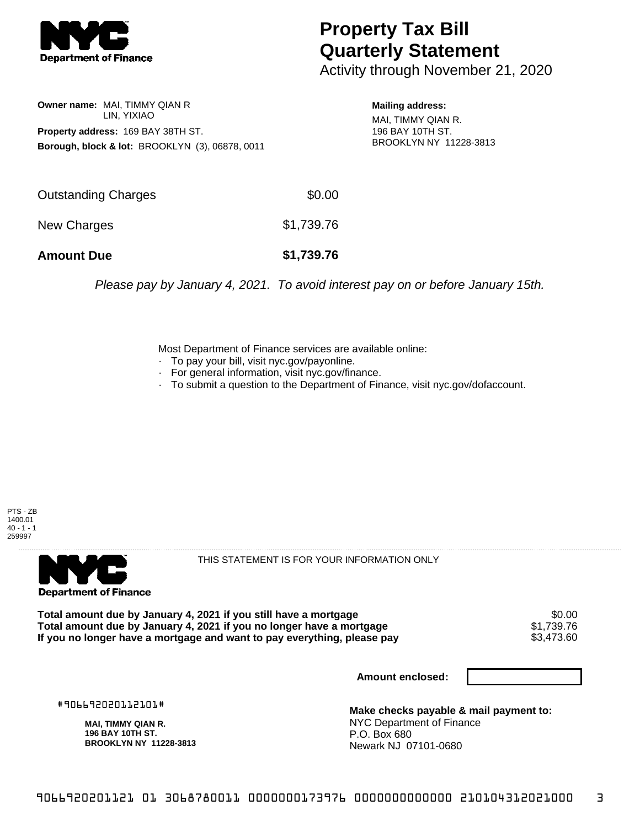

## **Property Tax Bill Quarterly Statement**

Activity through November 21, 2020

**Owner name:** MAI, TIMMY QIAN R LIN, YIXIAO **Property address:** 169 BAY 38TH ST. **Borough, block & lot:** BROOKLYN (3), 06878, 0011

**Mailing address:** MAI, TIMMY QIAN R. 196 BAY 10TH ST. BROOKLYN NY 11228-3813

| <b>Amount Due</b>   | \$1,739.76 |
|---------------------|------------|
| New Charges         | \$1,739.76 |
| Outstanding Charges | \$0.00     |

Please pay by January 4, 2021. To avoid interest pay on or before January 15th.

Most Department of Finance services are available online:

- · To pay your bill, visit nyc.gov/payonline.
- For general information, visit nyc.gov/finance.
- · To submit a question to the Department of Finance, visit nyc.gov/dofaccount.





THIS STATEMENT IS FOR YOUR INFORMATION ONLY

Total amount due by January 4, 2021 if you still have a mortgage \$0.00<br>Total amount due by January 4, 2021 if you no longer have a mortgage \$1.739.76 **Total amount due by January 4, 2021 if you no longer have a mortgage**  $$1,739.76$ **<br>If you no longer have a mortgage and want to pay everything, please pay <b>show that have a** \$3,473.60 If you no longer have a mortgage and want to pay everything, please pay

**Amount enclosed:**

#906692020112101#

**MAI, TIMMY QIAN R. 196 BAY 10TH ST. BROOKLYN NY 11228-3813**

**Make checks payable & mail payment to:** NYC Department of Finance P.O. Box 680 Newark NJ 07101-0680